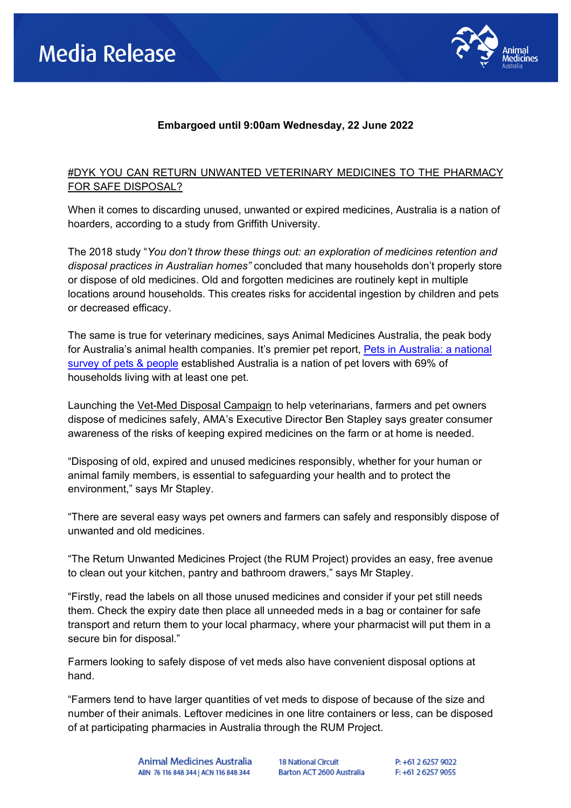

## **Embargoed until 9:00am Wednesday, 22 June 2022**

## #DYK YOU CAN RETURN UNWANTED VETERINARY MEDICINES TO THE PHARMACY FOR SAFE DISPOSAL?

When it comes to discarding unused, unwanted or expired medicines, Australia is a nation of hoarders, according to a study from Griffith University.

The 2018 study "*You don't throw these things out: an exploration of medicines retention and disposal practices in Australian homes"* concluded that many households don't properly store or dispose of old medicines. Old and forgotten medicines are routinely kept in multiple locations around households. This creates risks for accidental ingestion by children and pets or decreased efficacy.

The same is true for veterinary medicines, says Animal Medicines Australia, the peak body for Australia's animal health companies. It's premier pet report, [Pets in Australia: a national](https://animalmedicinesaustralia.org.au/report/pets-in-australia-a-national-survey-of-pets-and-people/)  [survey of pets & people](https://animalmedicinesaustralia.org.au/report/pets-in-australia-a-national-survey-of-pets-and-people/) established Australia is a nation of pet lovers with 69% of households living with at least one pet.

Launching the Vet-Med Disposal Campaign to help veterinarians, farmers and pet owners dispose of medicines safely, AMA's Executive Director Ben Stapley says greater consumer awareness of the risks of keeping expired medicines on the farm or at home is needed.

"Disposing of old, expired and unused medicines responsibly, whether for your human or animal family members, is essential to safeguarding your health and to protect the environment," says Mr Stapley.

"There are several easy ways pet owners and farmers can safely and responsibly dispose of unwanted and old medicines.

"The Return Unwanted Medicines Project (the RUM Project) provides an easy, free avenue to clean out your kitchen, pantry and bathroom drawers," says Mr Stapley.

"Firstly, read the labels on all those unused medicines and consider if your pet still needs them. Check the expiry date then place all unneeded meds in a bag or container for safe transport and return them to your local pharmacy, where your pharmacist will put them in a secure bin for disposal."

Farmers looking to safely dispose of vet meds also have convenient disposal options at hand.

"Farmers tend to have larger quantities of vet meds to dispose of because of the size and number of their animals. Leftover medicines in one litre containers or less, can be disposed of at participating pharmacies in Australia through the RUM Project.

> Animal Medicines Australia ABN 76 116 848 344 | ACN 116 848 344

**18 National Circuit** Barton ACT 2600 Australia P: +61 2 6257 9022 F: +61 2 6257 9055